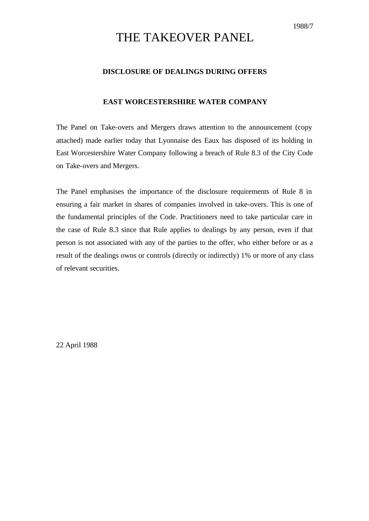## THE TAKEOVER PANEL

### **DISCLOSURE OF DEALINGS DURING OFFERS**

### **EAST WORCESTERSHIRE WATER COMPANY**

The Panel on Take-overs and Mergers draws attention to the announcement (copy attached) made earlier today that Lyonnaise des Eaux has disposed of its holding in East Worcestershire Water Company following a breach of Rule 8.3 of the City Code on Take-overs and Mergers.

The Panel emphasises the importance of the disclosure requirements of Rule 8 in ensuring a fair market in shares of companies involved in take-overs. This is one of the fundamental principles of the Code. Practitioners need to take particular care in the case of Rule 8.3 since that Rule applies to dealings by any person, even if that person is not associated with any of the parties to the offer, who either before or as a result of the dealings owns or controls (directly or indirectly) 1% or more of any class of relevant securities.

22 April 1988